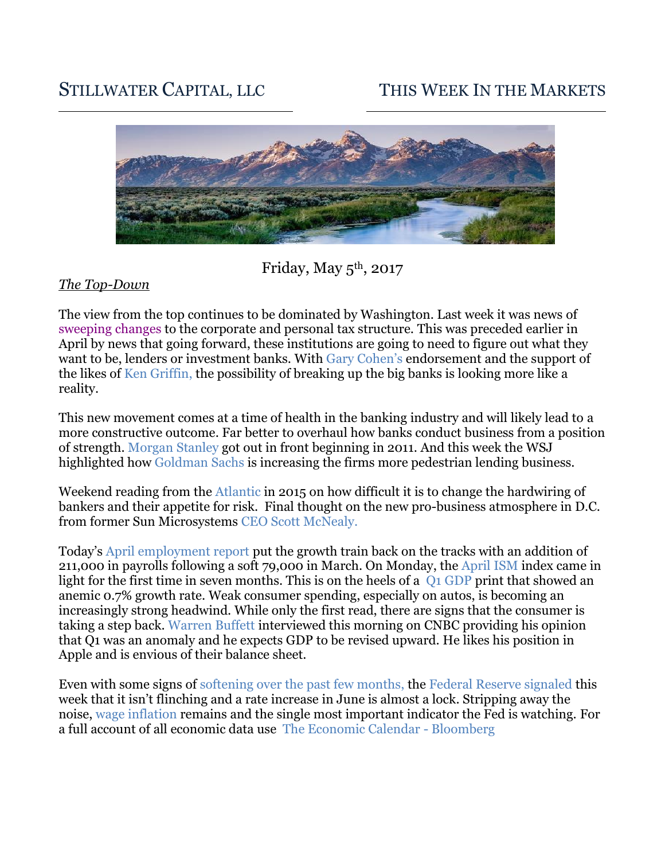# STILLWATER CAPITAL, LLC THIS WEEK IN THE MARKETS



Friday, May  $5<sup>th</sup>$ , 2017

# *The Top-Down*

The view from the top continues to be dominated by Washington. Last week it was news of [sweeping changes](https://www.washingtonpost.com/business/economy/trump-to-unveil-proposal-for-massive-tax-cut/2017/04/26/2097fe42-2a94-11e7-be51-b3fc6ff7faee_story.html?utm_term=.775892ae59bd) to the corporate and personal tax structure. This was preceded earlier in April by news that going forward, these institutions are going to need to figure out what they want to be, lenders or investment banks. With [Gary Cohen's](http://www.cnbc.com/2017/04/06/gary-cohn-supports-splitting-lending-and-investment-banks-bloomberg.html) endorsement and the support of the likes of [Ken Griffin,](https://www.bloomberg.com/news/videos/2017-05-01/citadel-ceo-griffin-favors-breaking-up-big-banks-video) the possibility of breaking up the big banks is looking more like a reality.

This new movement comes at a time of health in the banking industry and will likely lead to a more constructive outcome. Far better to overhaul how banks conduct business from a position of strength. [Morgan Stanley](http://fortune.com/2011/03/30/can-james-gorman-make-morgan-stanley-great-again/) got out in front beginning in 2011. And this week the WSJ highlighted how [Goldman Sachs](https://www.wsj.com/articles/goldman-sachs-embraces-bankings-bland-side-lending-money-1493675955) is increasing the firms more pedestrian lending business.

Weekend reading from the [Atlantic](https://www.theatlantic.com/magazine/archive/2015/05/can-bankers-behave/389558/) in 2015 on how difficult it is to change the hardwiring of bankers and their appetite for risk. Final thought on the new pro-business atmosphere in D.C. from former Sun Microsystems [CEO Scott McNealy.](http://www.cnbc.com/2017/04/26/the-waterboarding-stopped--big-company-ceo-describes-the-difference-between-obama-and-trump.html)

Today's [April employment report](https://www.bloomberg.com/news/articles/2017-05-05/payrolls-in-u-s-rise-by-211-000-jobless-rate-falls-to-4-4) put the growth train back on the tracks with an addition of 211,000 in payrolls following a soft 79,000 in March. On Monday, the [April ISM](https://www.instituteforsupplymanagement.org/about/MediaRoom/newsreleasedetail.cfm?ItemNumber=30792&SSO=1) index came in light for the first time in seven months. This is on the heels of a  $\overline{O1}$  GDP print that showed an anemic 0.7% growth rate. Weak consumer spending, especially on autos, is becoming an increasingly strong headwind. While only the first read, there are signs that the consumer is taking a step back. [Warren Buffett](http://video.cnbc.com/gallery/?video=3000616150) interviewed this morning on CNBC providing his opinion that Q1 was an anomaly and he expects GDP to be revised upward. He likes his position in Apple and is envious of their balance sheet.

Even with some signs of [softening over the past few months,](http://www.yardeni.com/pub/highfreqcb_bb.pdf) the [Federal Reserve signaled](http://www.businessinsider.com/federal-reserve-interest-rates-fomc-statement-may-3-2017-2017-5) this week that it isn't flinching and a rate increase in June is almost a lock. Stripping away the noise, [wage inflation](https://www.bls.gov/charts/employment-cost-index/compensation-in-private-industry-and-state-and-local-government-3-month-percent-change.htm) remains and the single most important indicator the Fed is watching. For a full account of all economic data use [The Economic Calendar -](https://www.bloomberg.com/markets/economic-calendar) Bloomberg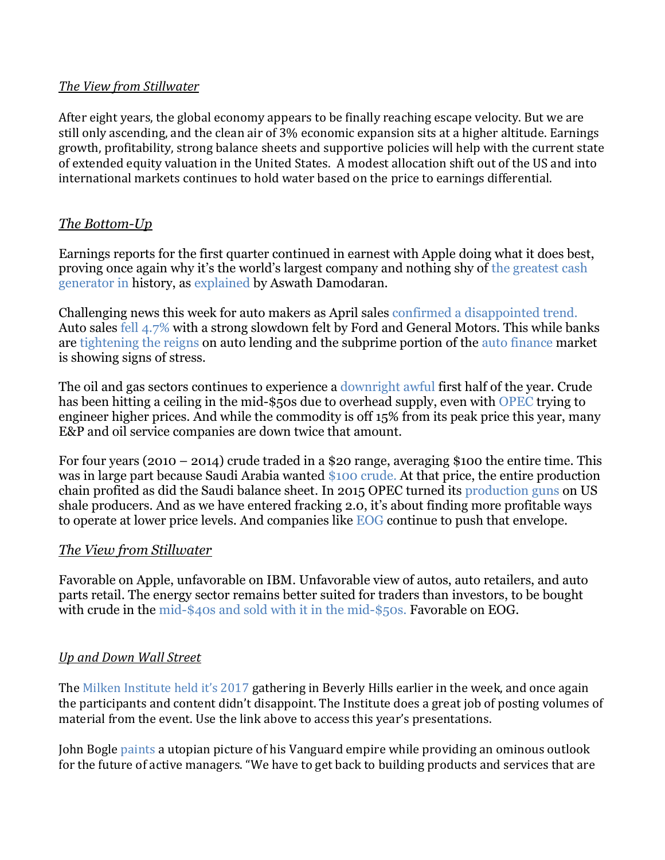# *The View from Stillwater*

After eight years, the global economy appears to be finally reaching escape velocity. But we are still only ascending, and the clean air of 3% economic expansion sits at a higher altitude. Earnings growth, profitability, strong balance sheets and supportive policies will help with the current state of extended equity valuation in the United States. A modest allocation shift out of the US and into international markets continues to hold water based on the price to earnings differential.

# *The Bottom-Up*

Earnings reports for the first quarter continued in earnest with Apple doing what it does best, proving once again why it's the world's largest company and nothing shy of [the greatest cash](https://www.wsj.com/articles/apples-250-billion-cash-pile-enlivens-hopes-fuels-expectations-1493566748)  [generator in](https://www.wsj.com/articles/apples-250-billion-cash-pile-enlivens-hopes-fuels-expectations-1493566748) history, as [explained](https://www.youtube.com/watch?v=YocmFq9fpV4) by Aswath Damodaran.

Challenging news this week for auto makers as April sales [confirmed a disappointed](http://www.reuters.com/article/us-usa-autos-sales-idUSKBN17Y1OA) trend. Auto sales [fell 4.7%](http://www.reuters.com/article/us-usa-autos-sales-idUSKBN17Y1OA) with a strong slowdown felt by Ford and General Motors. This while banks are [tightening the reigns](https://www.wsj.com/articles/banks-pull-back-on-car-loans-as-used-auto-prices-plummet-1493816356) on auto lending and the subprime portion of the [auto finance](http://www.businessinsider.com/auto-loan-delinquency-numbers-from-ny-fed-2016-11) market is showing signs of stress.

The oil and gas sectors continues to experience a [downright awful](https://www.bloomberg.com/news/articles/2017-05-05/five-charts-that-explain-crude-oil-s-sudden-nosedive-toward-45) first half of the year. Crude has been hitting a ceiling in the mid-\$50s due to overhead supply, even with [OPEC](https://www.bloomberg.com/graphics/2017-opec-production-targets/) trying to engineer higher prices. And while the commodity is off 15% from its peak price this year, many E&P and oil service companies are down twice that amount.

For four years (2010 – 2014) crude traded in a \$20 range, averaging \$100 the entire time. This was in large part because Saudi Arabia wanted [\\$100](https://www.usatoday.com/story/money/columnist/bartiromo/2015/01/11/bartiromo-saudi-prince-alwaleed-oil-100-barrel/21484911/) crude. At that price, the entire production chain profited as did the Saudi balance sheet. In 2015 OPEC turned its [production guns](http://money.cnn.com/2014/11/28/investing/opec-oil-price-us-shale/) on US shale producers. And as we have entered fracking 2.0, it's about finding more profitable ways to operate at lower price levels. And companies like [EOG](https://www.wsj.com/articles/fracking-2-0-shale-drillers-pioneer-new-ways-to-profit-in-era-of-cheap-oil-1490894501) continue to push that envelope.

# *The View from Stillwater*

Favorable on Apple, unfavorable on IBM. Unfavorable view of autos, auto retailers, and auto parts retail. The energy sector remains better suited for traders than investors, to be bought with crude in the [mid-\\$40s and sold with it in the mid-\\$50s.](http://www.nasdaq.com/markets/crude-oil.aspx?timeframe=1y) Favorable on EOG.

# *Up and Down Wall Street*

The [Milken Institute held it's 2017](http://www.milkeninstitute.org/events/conferences/global-conference/2017/program-detail) gathering in Beverly Hills earlier in the week, and once again the participants and content didn't disappoint. The Institute does a great job of posting volumes of material from the event. Use the link above to access this year's presentations.

John Bogle [paints](https://www.wsj.com/articles/goldman-sachs-embraces-bankings-bland-side-lending-money-1493675955) a utopian picture of his Vanguard empire while providing an ominous outlook for the future of active managers. "We have to get back to building products and services that are